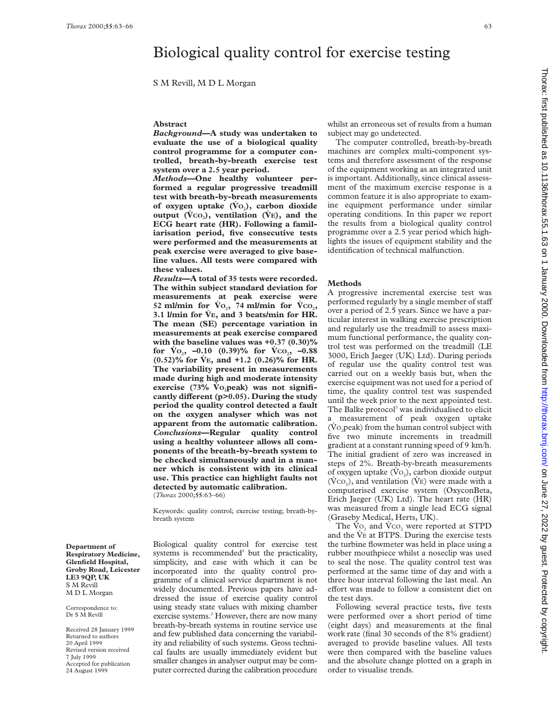# Biological quality control for exercise testing

S M Revill, M D L Morgan

### **Abstract**

*Background***—A study was undertaken to evaluate the use of a biological quality control programme for a computer controlled, breath-by-breath exercise test system over a 2.5 year period.**

*Methods***—One healthy volunteer performed a regular progressive treadmill test with breath-by-breath measurements** of oxygen uptake (V<sub>O<sub>2</sub>), carbon dioxide</sub> output  $(\dot{V}^{CO_2})$ , ventilation  $(\dot{V}^{E})$ , and the **ECG heart rate (HR). Following a familiarisation period, five consecutive tests were performed and the measurements at peak exercise were averaged to give baseline values. All tests were compared with these values.**

*Results***—A total of 35 tests were recorded. The within subject standard deviation for measurements at peak exercise were** 52 ml/min for  $\dot{V}O_2$ , 74 ml/min for  $\dot{V}CO_2$ ,  $3.1$  l/min for  $\dot{V}E$ , and 3 beats/min for HR. **The mean (SE) percentage variation in measurements at peak exercise compared with the baseline values was +0.37 (0.30)%** for  $\dot{V}$ <sub>0</sub>, –0.10 (0.39)% for  $\dot{V}$ <sub>co</sub>, –0.88 **(0.52)% for V**~ **E, and +1.2 (0.26)% for HR. The variability present in measurements made during high and moderate intensity**  $exercises (73% Vo, peak) was not signifi$ cantly different (p>0.05). During the study **period the quality control detected a fault on the oxygen analyser which was not apparent from the automatic calibration.** *Conclusions***—Regular quality control using a healthy volunteer allows all components of the breath-by-breath system to be checked simultaneously and in a manner which is consistent with its clinical use. This practice can highlight faults not detected by automatic calibration.**

(*Thorax* 2000;**55**:63–66)

Keywords: quality control; exercise testing; breath-bybreath system

**Department of Respiratory Medicine, Glenfield Hospital, Groby Road, Leicester LE3 9QP, UK** S M Revill M D L Morgan

Correspondence to: Dr S M Revill

Received 28 January 1999 Returned to authors 20 April 1999 Revised version received 7 July 1999 Accepted for publication 24 August 1999

Biological quality control for exercise test systems is recommended<sup>1</sup> but the practicality, simplicity, and ease with which it can be incorporated into the quality control programme of a clinical service department is not widely documented. Previous papers have addressed the issue of exercise quality control using steady state values with mixing chamber exercise systems.<sup>2</sup> However, there are now many breath-by-breath systems in routine service use and few published data concerning the variability and reliability of such systems. Gross technical faults are usually immediately evident but smaller changes in analyser output may be computer corrected during the calibration procedure

whilst an erroneous set of results from a human subject may go undetected.

The computer controlled, breath-by-breath machines are complex multi-component systems and therefore assessment of the response of the equipment working as an integrated unit is important. Additionally, since clinical assessment of the maximum exercise response is a common feature it is also appropriate to examine equipment performance under similar operating conditions. In this paper we report the results from a biological quality control programme over a 2.5 year period which highlights the issues of equipment stability and the identification of technical malfunction.

## **Methods**

A progressive incremental exercise test was performed regularly by a single member of staff over a period of 2.5 years. Since we have a particular interest in walking exercise prescription and regularly use the treadmill to assess maximum functional performance, the quality control test was performed on the treadmill (LE 3000, Erich Jaeger (UK) Ltd). During periods of regular use the quality control test was carried out on a weekly basis but, when the exercise equipment was not used for a period of time, the quality control test was suspended until the week prior to the next appointed test. The Balke protocol<sup>3</sup> was individualised to elicit a measurement of peak oxygen uptake  $(V<sub>O</sub>$  peak) from the human control subject with five two minute increments in treadmill gradient at a constant running speed of 9 km/h. The initial gradient of zero was increased in steps of 2%. Breath-by-breath measurements of oxygen uptake  $(\rm Vo_2)$ , carbon dioxide output  $(VCO<sub>2</sub>)$ , and ventilation (V<sub>E</sub>) were made with a computerised exercise system (OxyconBeta, Erich Jaeger (UK) Ltd). The heart rate (HR) was measured from a single lead ECG signal (Graseby Medical, Herts, UK).

The  $\text{Vo}_2$  and  $\text{Vco}_2$  were reported at STPD and the VE at BTPS. During the exercise tests the turbine flowmeter was held in place using a rubber mouthpiece whilst a noseclip was used to seal the nose. The quality control test was performed at the same time of day and with a three hour interval following the last meal. An effort was made to follow a consistent diet on the test days.

Following several practice tests, five tests were performed over a short period of time (eight days) and measurements at the final work rate (final 30 seconds of the 8% gradient) averaged to provide baseline values. All tests were then compared with the baseline values and the absolute change plotted on a graph in order to visualise trends.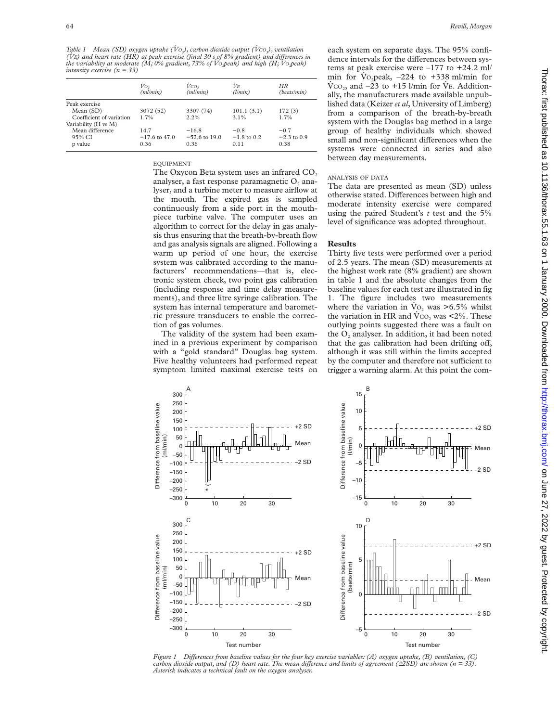*Table 1 Mean (SD) oxygen uptake (Vo<sub>2</sub>), carbon dioxide output (Vco<sub>2</sub>), ventilation (V*~*E) and heart rate (HR) at peak exercise (final 30 s of 8% gradient) and diVerences in the variability at moderate (M; 0% gradient, 73% of V*~ *O2peak) and high (H; V*~ *O2peak) intensity exercise (n = 33)*

|                          | Vo,<br>(ml/min) | $V_{CO_2}$<br>(ml/min) | İЛ.<br>(l/min) | HR<br>(beats/min) |
|--------------------------|-----------------|------------------------|----------------|-------------------|
| Peak exercise            |                 |                        |                |                   |
| Mean (SD)                | 3072 (52)       | 3307 (74)              | 101.1(3.1)     | 172(3)            |
| Coefficient of variation | 1.7%            | 2.2%                   | $3.1\%$        | 1.7%              |
| Variability (H vs M)     |                 |                        |                |                   |
| Mean difference          | 14.7            | $-16.8$                | $-0.8$         | $-0.7$            |
| 95% CI                   | $-17.6$ to 47.0 | $-52.6$ to 19.0        | $-1.8$ to 0.2  | $-2.3$ to 0.9     |
| p value                  | 0.36            | 0.36                   | 0.11           | 0.38              |

EQUIPMENT

The Oxycon Beta system uses an infrared CO<sub>2</sub> analyser, a fast response paramagnetic  $O<sub>2</sub>$  analyser, and a turbine meter to measure airflow at the mouth. The expired gas is sampled continuously from a side port in the mouthpiece turbine valve. The computer uses an algorithm to correct for the delay in gas analysis thus ensuring that the breath-by-breath flow and gas analysis signals are aligned. Following a warm up period of one hour, the exercise system was calibrated according to the manufacturers' recommendations—that is, electronic system check, two point gas calibration (including response and time delay measurements), and three litre syringe calibration. The system has internal temperature and barometric pressure transducers to enable the correction of gas volumes.

The validity of the system had been examined in a previous experiment by comparison with a "gold standard" Douglas bag system. Five healthy volunteers had performed repeat symptom limited maximal exercise tests on each system on separate days. The 95% confidence intervals for the differences between systems at peak exercise were  $-177$  to  $+24.2$  ml/ min for Vo<sub>2</sub>peak,  $-224$  to  $+338$  ml/min for  $\rm V_{CO_2}$ , and –23 to +15 l/min for VE. Additionally, the manufacturers made available unpublished data (Keizer *et al*, University of Limberg) from a comparison of the breath-by-breath system with the Douglas bag method in a large group of healthy individuals which showed small and non-significant differences when the systems were connected in series and also between day measurements.

#### ANALYSIS OF DATA

The data are presented as mean (SD) unless otherwise stated. Differences between high and moderate intensity exercise were compared using the paired Student's *t* test and the 5% level of significance was adopted throughout.

# **Results**

Thirty five tests were performed over a period of 2.5 years. The mean (SD) measurements at the highest work rate (8% gradient) are shown in table 1 and the absolute changes from the baseline values for each test are illustrated in fig 1. The figure includes two measurements where the variation in  $\dot{V}o$ , was  $\geq 6.5\%$  whilst the variation in HR and  $\dot{V}^{CO}$  was <2%. These outlying points suggested there was a fault on the  $O<sub>2</sub>$  analyser. In addition, it had been noted that the gas calibration had been drifting off, although it was still within the limits accepted by the computer and therefore not sufficient to trigger a warning alarm. At this point the com-



*Figure 1 DiVerences from baseline values for the four key exercise variables: (A) oxygen uptake, (B) ventilation, (C) carbon dioxide output, and (D) heart rate. The mean difference and limits of agreement (* $\pm$ *2SD) are shown (n = 33). Asterisk indicates a technical fault on the oxygen analyser.*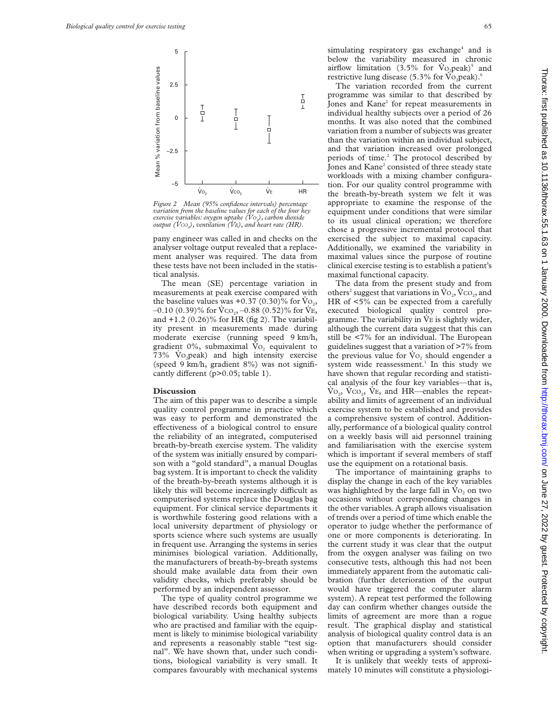

*Figure 2 Mean (95% confidence intervals) percentage variation from the baseline values for each of the four key exercise variables: oxygen uptake (V*~ *O2), carbon dioxide output (V*~ *CO2), ventilation (V*~*E), and heart rate (HR).*

pany engineer was called in and checks on the analyser voltage output revealed that a replacement analyser was required. The data from these tests have not been included in the statistical analysis.

The mean (SE) percentage variation in measurements at peak exercise compared with the baseline values was +0.37 (0.30)% for  $\text{Vo}_2$ ,  $-0.10$  (0.39)% for  $\dot{V}CO_{22} - 0.88$  (0.52)% for  $\dot{V}E$ , and +1.2 (0.26)% for HR (fig 2). The variability present in measurements made during moderate exercise (running speed 9 km/h, gradient 0%, submaximal  $\dot{V}o_2$  equivalent to 73%  $Vo<sub>2</sub>peak$ ) and high intensity exercise (speed 9 km/h, gradient 8%) was not significantly different ( $p>0.05$ ; table 1).

# **Discussion**

The aim of this paper was to describe a simple quality control programme in practice which was easy to perform and demonstrated the effectiveness of a biological control to ensure the reliability of an integrated, computerised breath-by-breath exercise system. The validity of the system was initially ensured by comparison with a "gold standard", a manual Douglas bag system. It is important to check the validity of the breath-by-breath systems although it is likely this will become increasingly difficult as computerised systems replace the Douglas bag equipment. For clinical service departments it is worthwhile fostering good relations with a local university department of physiology or sports science where such systems are usually in frequent use. Arranging the systems in series minimises biological variation. Additionally, the manufacturers of breath-by-breath systems should make available data from their own validity checks, which preferably should be performed by an independent assessor.

The type of quality control programme we have described records both equipment and biological variability. Using healthy subjects who are practised and familiar with the equipment is likely to minimise biological variability and represents a reasonably stable "test signal". We have shown that, under such conditions, biological variability is very small. It compares favourably with mechanical systems simulating respiratory gas exchange<sup>4</sup> and is below the variability measured in chronic airflow limitation  $(3.5\%$  for  $\dot{V}o$ , peak)<sup>5</sup> and restrictive lung disease  $(5.3\%$  for Vo<sub>2</sub>peak).<sup>6</sup>

The variation recorded from the current programme was similar to that described by Jones and Kane<sup>2</sup> for repeat measurements in individual healthy subjects over a period of 26 months. It was also noted that the combined variation from a number of subjects was greater than the variation within an individual subject, and that variation increased over prolonged periods of time.<sup>2</sup> The protocol described by Jones and Kane<sup>2</sup> consisted of three steady state workloads with a mixing chamber configuration. For our quality control programme with the breath-by-breath system we felt it was appropriate to examine the response of the equipment under conditions that were similar to its usual clinical operation; we therefore chose a progressive incremental protocol that exercised the subject to maximal capacity. Additionally, we examined the variability in maximal values since the purpose of routine clinical exercise testing is to establish a patient's maximal functional capacity.

The data from the present study and from others<sup>2</sup> suggest that variations in  $Vo_2$ ,  $VCO_2$ , and HR of <5% can be expected from a carefully executed biological quality control programme. The variability in  $\dot{V}E$  is slightly wider, although the current data suggest that this can still be <7% for an individual. The European guidelines suggest that a variation of >7% from the previous value for  $\dot{V}o_2$  should engender a system wide reassessment.<sup>1</sup> In this study we have shown that regular recording and statistical analysis of the four key variables—that is,  $\dot{V}_{O_2}$ ,  $\dot{V}_{CO_2}$ ,  $\dot{V}_{E}$ , and HR—enables the repeatability and limits of agreement of an individual exercise system to be established and provides a comprehensive system of control. Additionally, performance of a biological quality control on a weekly basis will aid personnel training and familiarisation with the exercise system which is important if several members of staff use the equipment on a rotational basis.

The importance of maintaining graphs to display the change in each of the key variables was highlighted by the large fall in  $\text{Vo}_2$  on two occasions without corresponding changes in the other variables. A graph allows visualisation of trends over a period of time which enable the operator to judge whether the performance of one or more components is deteriorating. In the current study it was clear that the output from the oxygen analyser was failing on two consecutive tests, although this had not been immediately apparent from the automatic calibration (further deterioration of the output would have triggered the computer alarm system). A repeat test performed the following day can confirm whether changes outside the limits of agreement are more than a rogue result. The graphical display and statistical analysis of biological quality control data is an option that manufacturers should consider when writing or upgrading a system's software.

It is unlikely that weekly tests of approximately 10 minutes will constitute a physiologi-